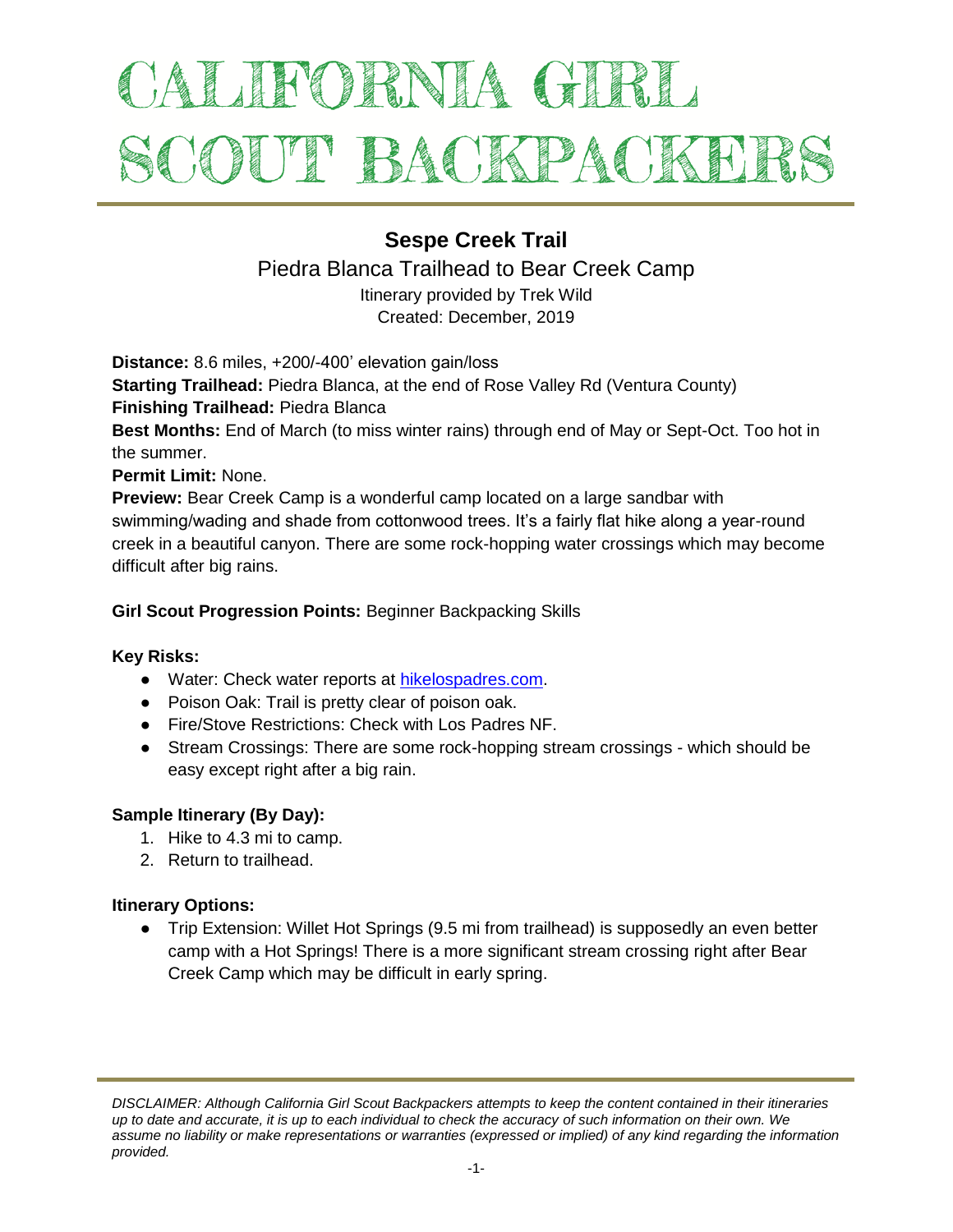# ALIFORNIA GIRL SCOUT BACKPACKEI

## **Sespe Creek Trail**

### Piedra Blanca Trailhead to Bear Creek Camp

Itinerary provided by Trek Wild Created: December, 2019

**Distance:** 8.6 miles, +200/-400' elevation gain/loss

**Starting Trailhead:** Piedra Blanca, at the end of Rose Valley Rd (Ventura County) **Finishing Trailhead:** Piedra Blanca

**Best Months:** End of March (to miss winter rains) through end of May or Sept-Oct. Too hot in the summer.

**Permit Limit:** None.

**Preview:** Bear Creek Camp is a wonderful camp located on a large sandbar with swimming/wading and shade from cottonwood trees. It's a fairly flat hike along a year-round creek in a beautiful canyon. There are some rock-hopping water crossings which may become difficult after big rains.

#### **Girl Scout Progression Points:** Beginner Backpacking Skills

#### **Key Risks:**

- Water: Check water reports at [hikelospadres.com.](http://www.hikelospadres.com/)
- Poison Oak: Trail is pretty clear of poison oak.
- Fire/Stove Restrictions: Check with Los Padres NF.
- Stream Crossings: There are some rock-hopping stream crossings which should be easy except right after a big rain.

#### **Sample Itinerary (By Day):**

- 1. Hike to 4.3 mi to camp.
- 2. Return to trailhead.

#### **Itinerary Options:**

● Trip Extension: Willet Hot Springs (9.5 mi from trailhead) is supposedly an even better camp with a Hot Springs! There is a more significant stream crossing right after Bear Creek Camp which may be difficult in early spring.

*DISCLAIMER: Although California Girl Scout Backpackers attempts to keep the content contained in their itineraries up to date and accurate, it is up to each individual to check the accuracy of such information on their own. We assume no liability or make representations or warranties (expressed or implied) of any kind regarding the information provided.*